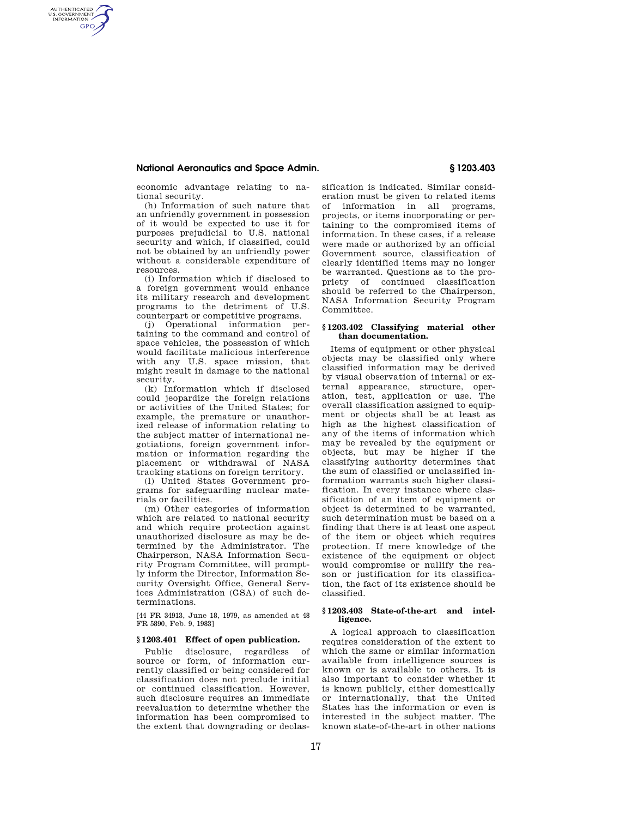## **National Aeronautics and Space Admin. § 1203.403**

AUTHENTICATED<br>U.S. GOVERNMENT<br>INFORMATION **GPO** 

> economic advantage relating to national security.

(h) Information of such nature that an unfriendly government in possession of it would be expected to use it for purposes prejudicial to U.S. national security and which, if classified, could not be obtained by an unfriendly power without a considerable expenditure of resources.

(i) Information which if disclosed to a foreign government would enhance its military research and development programs to the detriment of U.S. counterpart or competitive programs.

(j) Operational information pertaining to the command and control of space vehicles, the possession of which would facilitate malicious interference with any U.S. space mission, that might result in damage to the national security.

(k) Information which if disclosed could jeopardize the foreign relations or activities of the United States; for example, the premature or unauthorized release of information relating to the subject matter of international negotiations, foreign government information or information regarding the placement or withdrawal of NASA tracking stations on foreign territory.

(l) United States Government programs for safeguarding nuclear materials or facilities.

(m) Other categories of information which are related to national security and which require protection against unauthorized disclosure as may be determined by the Administrator. The Chairperson, NASA Information Security Program Committee, will promptly inform the Director, Information Security Oversight Office, General Services Administration (GSA) of such determinations.

[44 FR 34913, June 18, 1979, as amended at 48 FR 5890, Feb. 9, 1983]

# **§ 1203.401 Effect of open publication.**

Public disclosure, regardless of source or form, of information currently classified or being considered for classification does not preclude initial or continued classification. However, such disclosure requires an immediate reevaluation to determine whether the information has been compromised to the extent that downgrading or declassification is indicated. Similar consideration must be given to related items of information in all programs, projects, or items incorporating or pertaining to the compromised items of information. In these cases, if a release were made or authorized by an official Government source, classification of clearly identified items may no longer be warranted. Questions as to the propriety of continued classification should be referred to the Chairperson, NASA Information Security Program Committee.

### **§ 1203.402 Classifying material other than documentation.**

Items of equipment or other physical objects may be classified only where classified information may be derived by visual observation of internal or external appearance, structure, operation, test, application or use. The overall classification assigned to equipment or objects shall be at least as high as the highest classification of any of the items of information which may be revealed by the equipment or objects, but may be higher if the classifying authority determines that the sum of classified or unclassified information warrants such higher classification. In every instance where classification of an item of equipment or object is determined to be warranted, such determination must be based on a finding that there is at least one aspect of the item or object which requires protection. If mere knowledge of the existence of the equipment or object would compromise or nullify the reason or justification for its classification, the fact of its existence should be classified.

## **§ 1203.403 State-of-the-art and intelligence.**

A logical approach to classification requires consideration of the extent to which the same or similar information available from intelligence sources is known or is available to others. It is also important to consider whether it is known publicly, either domestically or internationally, that the United States has the information or even is interested in the subject matter. The known state-of-the-art in other nations